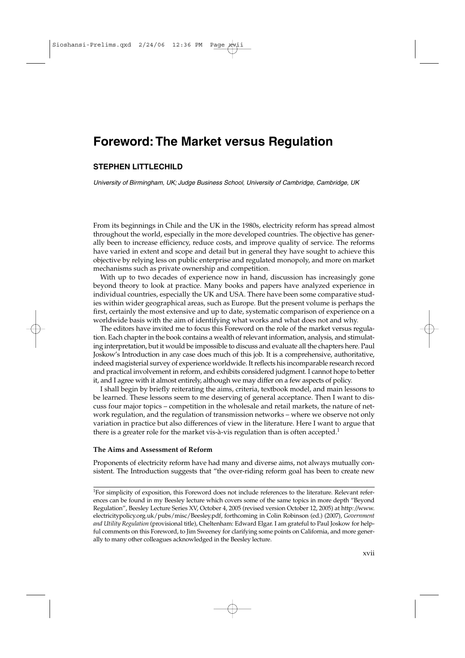# **Foreword:The Market versus Regulation**

# **STEPHEN LITTLECHILD**

University of Birmingham, UK; Judge Business School, University of Cambridge, Cambridge, UK

From its beginnings in Chile and the UK in the 1980s, electricity reform has spread almost throughout the world, especially in the more developed countries. The objective has generally been to increase efficiency, reduce costs, and improve quality of service. The reforms have varied in extent and scope and detail but in general they have sought to achieve this objective by relying less on public enterprise and regulated monopoly, and more on market mechanisms such as private ownership and competition.

With up to two decades of experience now in hand, discussion has increasingly gone beyond theory to look at practice. Many books and papers have analyzed experience in individual countries, especially the UK and USA. There have been some comparative studies within wider geographical areas, such as Europe. But the present volume is perhaps the first, certainly the most extensive and up to date, systematic comparison of experience on a worldwide basis with the aim of identifying what works and what does not and why.

The editors have invited me to focus this Foreword on the role of the market versus regulation. Each chapter in the book contains a wealth of relevant information, analysis, and stimulating interpretation, but it would be impossible to discuss and evaluate all the chapters here. Paul Joskow's Introduction in any case does much of this job. It is a comprehensive, authoritative, indeed magisterial survey of experience worldwide. It reflects his incomparable research record and practical involvement in reform, and exhibits considered judgment. I cannot hope to better it, and I agree with it almost entirely, although we may differ on a few aspects of policy.

I shall begin by briefly reiterating the aims, criteria, textbook model, and main lessons to be learned. These lessons seem to me deserving of general acceptance. Then I want to discuss four major topics – competition in the wholesale and retail markets, the nature of network regulation, and the regulation of transmission networks – where we observe not only variation in practice but also differences of view in the literature. Here I want to argue that there is a greater role for the market vis-à-vis regulation than is often accepted.<sup>1</sup>

# **The Aims and Assessment of Reform**

Proponents of electricity reform have had many and diverse aims, not always mutually consistent. The Introduction suggests that "the over-riding reform goal has been to create new

<sup>&</sup>lt;sup>1</sup>For simplicity of exposition, this Foreword does not include references to the literature. Relevant references can be found in my Beesley lecture which covers some of the same topics in more depth "Beyond Regulation", Beesley Lecture Series XV, October 4, 2005 (revised version October 12, 2005) at http:*//*www. electricitypolicy.org.uk/pubs/misc/Beesley.pdf, forthcoming in Colin Robinson (ed.) (2007), *Government and Utility Regulation* (provisional title), Cheltenham: Edward Elgar. I am grateful to Paul Joskow for helpful comments on this Foreword, to Jim Sweeney for clarifying some points on California, and more generally to many other colleagues acknowledged in the Beesley lecture.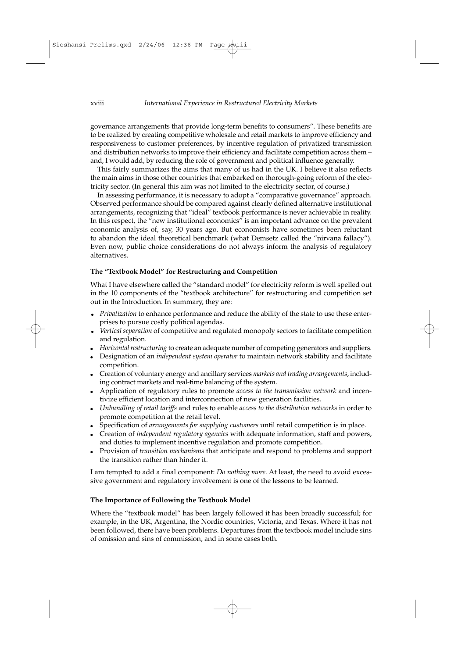governance arrangements that provide long-term benefits to consumers". These benefits are to be realized by creating competitive wholesale and retail markets to improve efficiency and responsiveness to customer preferences, by incentive regulation of privatized transmission and distribution networks to improve their efficiency and facilitate competition across them – and, I would add, by reducing the role of government and political influence generally.

This fairly summarizes the aims that many of us had in the UK. I believe it also reflects the main aims in those other countries that embarked on thorough-going reform of the electricity sector. (In general this aim was not limited to the electricity sector, of course.)

In assessing performance, it is necessary to adopt a "comparative governance" approach. Observed performance should be compared against clearly defined alternative institutional arrangements, recognizing that "ideal" textbook performance is never achievable in reality. In this respect, the "new institutional economics" is an important advance on the prevalent economic analysis of, say, 30 years ago. But economists have sometimes been reluctant to abandon the ideal theoretical benchmark (what Demsetz called the "nirvana fallacy"). Even now, public choice considerations do not always inform the analysis of regulatory alternatives.

# **The "Textbook Model" for Restructuring and Competition**

What I have elsewhere called the "standard model" for electricity reform is well spelled out in the 10 components of the "textbook architecture" for restructuring and competition set out in the Introduction. In summary, they are:

- *Privatization* to enhance performance and reduce the ability of the state to use these enterprises to pursue costly political agendas.
- *Vertical separation* of competitive and regulated monopoly sectors to facilitate competition and regulation.
- *Horizontal restructuring* to create an adequate number of competing generators and suppliers.
- Designation of an *independent system operator* to maintain network stability and facilitate competition.
- Creation of voluntary energy and ancillary services *markets and trading arrangements*, including contract markets and real-time balancing of the system.
- Application of regulatory rules to promote *access to the transmission network* and incentivize efficient location and interconnection of new generation facilities.
- *Unbundling of retail tariffs* and rules to enable *access to the distribution networks* in order to promote competition at the retail level.
- Specification of *arrangements for supplying customers* until retail competition is in place.
- Creation of *independent regulatory agencies* with adequate information, staff and powers, and duties to implement incentive regulation and promote competition.
- Provision of *transition mechanisms* that anticipate and respond to problems and support the transition rather than hinder it.

I am tempted to add a final component: *Do nothing more*. At least, the need to avoid excessive government and regulatory involvement is one of the lessons to be learned.

# **The Importance of Following the Textbook Model**

Where the "textbook model" has been largely followed it has been broadly successful; for example, in the UK, Argentina, the Nordic countries, Victoria, and Texas. Where it has not been followed, there have been problems. Departures from the textbook model include sins of omission and sins of commission, and in some cases both.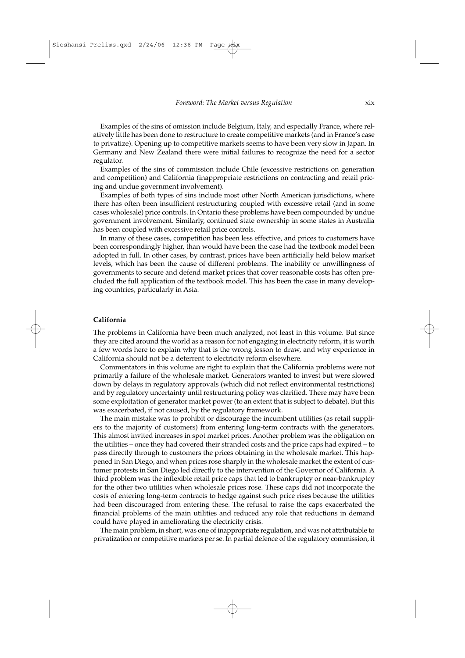Examples of the sins of omission include Belgium, Italy, and especially France, where relatively little has been done to restructure to create competitive markets (and in France's case to privatize). Opening up to competitive markets seems to have been very slow in Japan. In Germany and New Zealand there were initial failures to recognize the need for a sector regulator.

Examples of the sins of commission include Chile (excessive restrictions on generation and competition) and California (inappropriate restrictions on contracting and retail pricing and undue government involvement).

Examples of both types of sins include most other North American jurisdictions, where there has often been insufficient restructuring coupled with excessive retail (and in some cases wholesale) price controls. In Ontario these problems have been compounded by undue government involvement. Similarly, continued state ownership in some states in Australia has been coupled with excessive retail price controls.

In many of these cases, competition has been less effective, and prices to customers have been correspondingly higher, than would have been the case had the textbook model been adopted in full. In other cases, by contrast, prices have been artificially held below market levels, which has been the cause of different problems. The inability or unwillingness of governments to secure and defend market prices that cover reasonable costs has often precluded the full application of the textbook model. This has been the case in many developing countries, particularly in Asia.

# **California**

The problems in California have been much analyzed, not least in this volume. But since they are cited around the world as a reason for not engaging in electricity reform, it is worth a few words here to explain why that is the wrong lesson to draw, and why experience in California should not be a deterrent to electricity reform elsewhere.

Commentators in this volume are right to explain that the California problems were not primarily a failure of the wholesale market. Generators wanted to invest but were slowed down by delays in regulatory approvals (which did not reflect environmental restrictions) and by regulatory uncertainty until restructuring policy was clarified. There may have been some exploitation of generator market power (to an extent that is subject to debate). But this was exacerbated, if not caused, by the regulatory framework.

The main mistake was to prohibit or discourage the incumbent utilities (as retail suppliers to the majority of customers) from entering long-term contracts with the generators. This almost invited increases in spot market prices. Another problem was the obligation on the utilities – once they had covered their stranded costs and the price caps had expired – to pass directly through to customers the prices obtaining in the wholesale market. This happened in San Diego, and when prices rose sharply in the wholesale market the extent of customer protests in San Diego led directly to the intervention of the Governor of California. A third problem was the inflexible retail price caps that led to bankruptcy or near-bankruptcy for the other two utilities when wholesale prices rose. These caps did not incorporate the costs of entering long-term contracts to hedge against such price rises because the utilities had been discouraged from entering these. The refusal to raise the caps exacerbated the financial problems of the main utilities and reduced any role that reductions in demand could have played in ameliorating the electricity crisis.

The main problem, in short, was one of inappropriate regulation, and was not attributable to privatization or competitive markets per se. In partial defence of the regulatory commission, it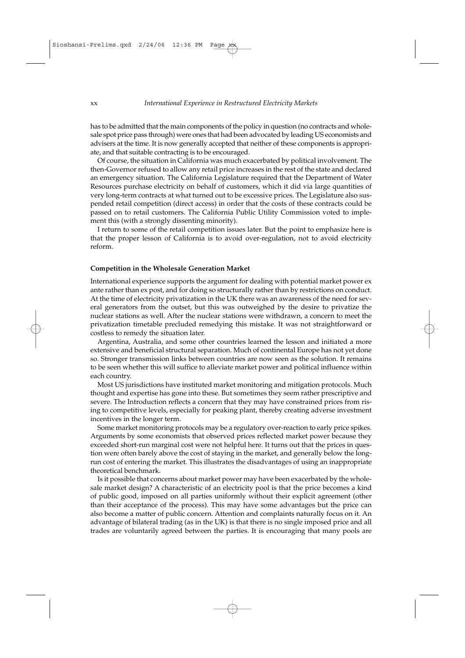has to be admitted that the main components of the policy in question (no contracts and wholesale spot price pass through) were ones that had been advocated by leading US economists and advisers at the time. It is now generally accepted that neither of these components is appropriate, and that suitable contracting is to be encouraged.

Of course, the situation in California was much exacerbated by political involvement. The then-Governor refused to allow any retail price increases in the rest of the state and declared an emergency situation. The California Legislature required that the Department of Water Resources purchase electricity on behalf of customers, which it did via large quantities of very long-term contracts at what turned out to be excessive prices. The Legislature also suspended retail competition (direct access) in order that the costs of these contracts could be passed on to retail customers. The California Public Utility Commission voted to implement this (with a strongly dissenting minority).

I return to some of the retail competition issues later. But the point to emphasize here is that the proper lesson of California is to avoid over-regulation, not to avoid electricity reform.

# **Competition in the Wholesale Generation Market**

International experience supports the argument for dealing with potential market power ex ante rather than ex post, and for doing so structurally rather than by restrictions on conduct. At the time of electricity privatization in the UK there was an awareness of the need for several generators from the outset, but this was outweighed by the desire to privatize the nuclear stations as well. After the nuclear stations were withdrawn, a concern to meet the privatization timetable precluded remedying this mistake. It was not straightforward or costless to remedy the situation later.

Argentina, Australia, and some other countries learned the lesson and initiated a more extensive and beneficial structural separation. Much of continental Europe has not yet done so. Stronger transmission links between countries are now seen as the solution. It remains to be seen whether this will suffice to alleviate market power and political influence within each country.

Most US jurisdictions have instituted market monitoring and mitigation protocols. Much thought and expertise has gone into these. But sometimes they seem rather prescriptive and severe. The Introduction reflects a concern that they may have constrained prices from rising to competitive levels, especially for peaking plant, thereby creating adverse investment incentives in the longer term.

Some market monitoring protocols may be a regulatory over-reaction to early price spikes. Arguments by some economists that observed prices reflected market power because they exceeded short-run marginal cost were not helpful here. It turns out that the prices in question were often barely above the cost of staying in the market, and generally below the longrun cost of entering the market. This illustrates the disadvantages of using an inappropriate theoretical benchmark.

Is it possible that concerns about market power may have been exacerbated by the wholesale market design? A characteristic of an electricity pool is that the price becomes a kind of public good, imposed on all parties uniformly without their explicit agreement (other than their acceptance of the process). This may have some advantages but the price can also become a matter of public concern. Attention and complaints naturally focus on it. An advantage of bilateral trading (as in the UK) is that there is no single imposed price and all trades are voluntarily agreed between the parties. It is encouraging that many pools are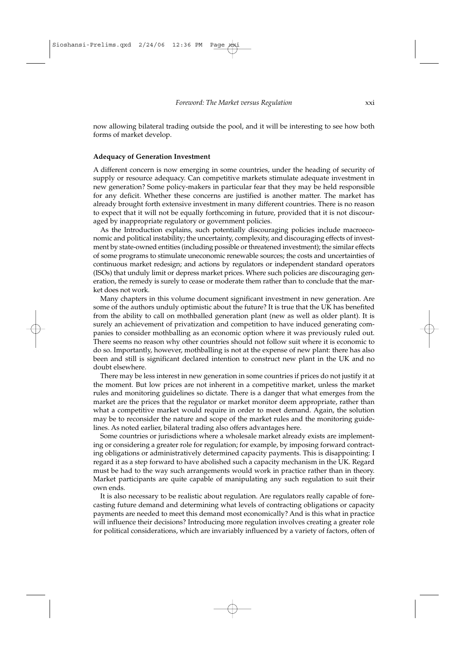now allowing bilateral trading outside the pool, and it will be interesting to see how both forms of market develop.

# **Adequacy of Generation Investment**

A different concern is now emerging in some countries, under the heading of security of supply or resource adequacy. Can competitive markets stimulate adequate investment in new generation? Some policy-makers in particular fear that they may be held responsible for any deficit. Whether these concerns are justified is another matter. The market has already brought forth extensive investment in many different countries. There is no reason to expect that it will not be equally forthcoming in future, provided that it is not discouraged by inappropriate regulatory or government policies.

As the Introduction explains, such potentially discouraging policies include macroeconomic and political instability; the uncertainty, complexity, and discouraging effects of investment by state-owned entities (including possible or threatened investment); the similar effects of some programs to stimulate uneconomic renewable sources; the costs and uncertainties of continuous market redesign; and actions by regulators or independent standard operators (ISOs) that unduly limit or depress market prices. Where such policies are discouraging generation, the remedy is surely to cease or moderate them rather than to conclude that the market does not work.

Many chapters in this volume document significant investment in new generation. Are some of the authors unduly optimistic about the future? It is true that the UK has benefited from the ability to call on mothballed generation plant (new as well as older plant). It is surely an achievement of privatization and competition to have induced generating companies to consider mothballing as an economic option where it was previously ruled out. There seems no reason why other countries should not follow suit where it is economic to do so. Importantly, however, mothballing is not at the expense of new plant: there has also been and still is significant declared intention to construct new plant in the UK and no doubt elsewhere.

There may be less interest in new generation in some countries if prices do not justify it at the moment. But low prices are not inherent in a competitive market, unless the market rules and monitoring guidelines so dictate. There is a danger that what emerges from the market are the prices that the regulator or market monitor deem appropriate, rather than what a competitive market would require in order to meet demand. Again, the solution may be to reconsider the nature and scope of the market rules and the monitoring guidelines. As noted earlier, bilateral trading also offers advantages here.

Some countries or jurisdictions where a wholesale market already exists are implementing or considering a greater role for regulation; for example, by imposing forward contracting obligations or administratively determined capacity payments. This is disappointing: I regard it as a step forward to have abolished such a capacity mechanism in the UK. Regard must be had to the way such arrangements would work in practice rather than in theory. Market participants are quite capable of manipulating any such regulation to suit their own ends.

It is also necessary to be realistic about regulation. Are regulators really capable of forecasting future demand and determining what levels of contracting obligations or capacity payments are needed to meet this demand most economically? And is this what in practice will influence their decisions? Introducing more regulation involves creating a greater role for political considerations, which are invariably influenced by a variety of factors, often of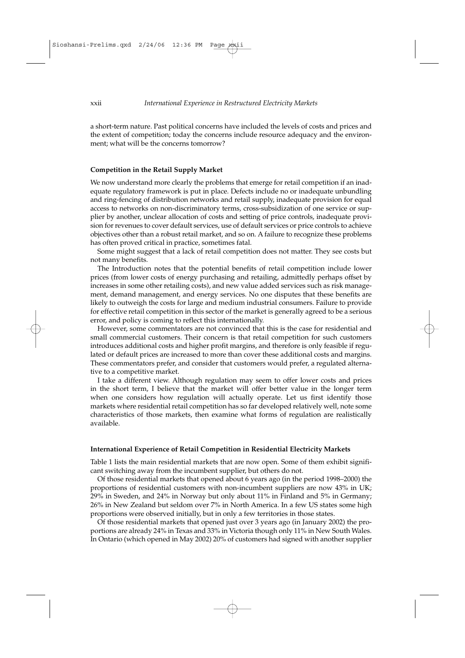a short-term nature. Past political concerns have included the levels of costs and prices and the extent of competition; today the concerns include resource adequacy and the environment; what will be the concerns tomorrow?

# **Competition in the Retail Supply Market**

We now understand more clearly the problems that emerge for retail competition if an inadequate regulatory framework is put in place. Defects include no or inadequate unbundling and ring-fencing of distribution networks and retail supply, inadequate provision for equal access to networks on non-discriminatory terms, cross-subsidization of one service or supplier by another, unclear allocation of costs and setting of price controls, inadequate provision for revenues to cover default services, use of default services or price controls to achieve objectives other than a robust retail market, and so on. A failure to recognize these problems has often proved critical in practice, sometimes fatal.

Some might suggest that a lack of retail competition does not matter. They see costs but not many benefits.

The Introduction notes that the potential benefits of retail competition include lower prices (from lower costs of energy purchasing and retailing, admittedly perhaps offset by increases in some other retailing costs), and new value added services such as risk management, demand management, and energy services. No one disputes that these benefits are likely to outweigh the costs for large and medium industrial consumers. Failure to provide for effective retail competition in this sector of the market is generally agreed to be a serious error, and policy is coming to reflect this internationally.

However, some commentators are not convinced that this is the case for residential and small commercial customers. Their concern is that retail competition for such customers introduces additional costs and higher profit margins, and therefore is only feasible if regulated or default prices are increased to more than cover these additional costs and margins. These commentators prefer, and consider that customers would prefer, a regulated alternative to a competitive market.

I take a different view. Although regulation may seem to offer lower costs and prices in the short term, I believe that the market will offer better value in the longer term when one considers how regulation will actually operate. Let us first identify those markets where residential retail competition has so far developed relatively well, note some characteristics of those markets, then examine what forms of regulation are realistically available.

## **International Experience of Retail Competition in Residential Electricity Markets**

Table 1 lists the main residential markets that are now open. Some of them exhibit significant switching away from the incumbent supplier, but others do not.

Of those residential markets that opened about 6 years ago (in the period 1998–2000) the proportions of residential customers with non-incumbent suppliers are now 43% in UK; 29% in Sweden, and 24% in Norway but only about 11% in Finland and 5% in Germany; 26% in New Zealand but seldom over 7% in North America. In a few US states some high proportions were observed initially, but in only a few territories in those states.

Of those residential markets that opened just over 3 years ago (in January 2002) the proportions are already 24% in Texas and 33% in Victoria though only 11% in New South Wales. In Ontario (which opened in May 2002) 20% of customers had signed with another supplier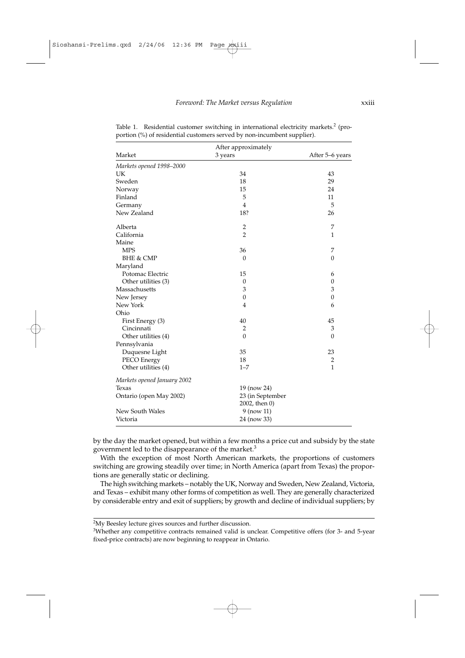| After approximately         |                                   |                 |
|-----------------------------|-----------------------------------|-----------------|
| Market                      | 3 years                           | After 5–6 years |
| Markets opened 1998-2000    |                                   |                 |
| UK                          | 34                                | 43              |
| Sweden                      | 18                                | 29              |
| Norway                      | 15                                | 24              |
| Finland                     | 5                                 | 11              |
| Germany                     | $\overline{4}$                    | 5               |
| New Zealand                 | 18?                               | 26              |
| Alberta                     | $\overline{2}$                    | 7               |
| California                  | $\overline{2}$                    | $\mathbf{1}$    |
| Maine                       |                                   |                 |
| <b>MPS</b>                  | 36                                | 7               |
| <b>BHE &amp; CMP</b>        | $\theta$                          | $\mathbf{0}$    |
| Maryland                    |                                   |                 |
| Potomac Electric            | 15                                | 6               |
| Other utilities (3)         | $\boldsymbol{0}$                  | $\mathbf{0}$    |
| Massachusetts               | 3                                 | 3               |
| New Jersey                  | $\boldsymbol{0}$                  | $\mathbf{0}$    |
| New York                    | $\overline{4}$                    | 6               |
| Ohio                        |                                   |                 |
| First Energy (3)            | 40                                | 45              |
| Cincinnati                  | $\overline{2}$                    | 3               |
| Other utilities (4)         | $\mathbf{0}$                      | $\mathbf{0}$    |
| Pennsylvania                |                                   |                 |
| Duquesne Light              | 35                                | 23              |
| PECO Energy                 | 18                                | $\overline{2}$  |
| Other utilities (4)         | $1 - 7$                           | $\mathbf{1}$    |
| Markets opened January 2002 |                                   |                 |
| Texas                       | 19 (now 24)                       |                 |
| Ontario (open May 2002)     | 23 (in September<br>2002, then 0) |                 |
| New South Wales             | $9$ (now 11)                      |                 |
| Victoria                    | 24 (now 33)                       |                 |

Table 1. Residential customer switching in international electricity markets.<sup>2</sup> (proportion (%) of residential customers served by non-incumbent supplier).

by the day the market opened, but within a few months a price cut and subsidy by the state government led to the disappearance of the market.<sup>3</sup>

With the exception of most North American markets, the proportions of customers switching are growing steadily over time; in North America (apart from Texas) the proportions are generally static or declining.

The high switching markets – notably the UK, Norway and Sweden, New Zealand, Victoria, and Texas – exhibit many other forms of competition as well. They are generally characterized by considerable entry and exit of suppliers; by growth and decline of individual suppliers; by

<sup>&</sup>lt;sup>2</sup>My Beesley lecture gives sources and further discussion.

<sup>3</sup> Whether any competitive contracts remained valid is unclear. Competitive offers (for 3- and 5-year fixed-price contracts) are now beginning to reappear in Ontario.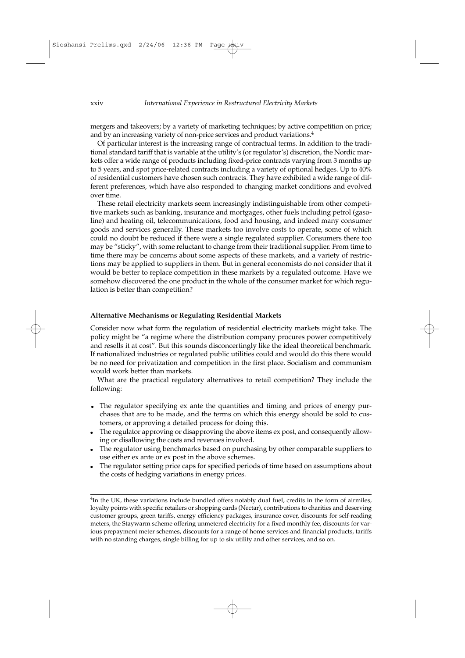mergers and takeovers; by a variety of marketing techniques; by active competition on price; and by an increasing variety of non-price services and product variations.<sup>4</sup>

Of particular interest is the increasing range of contractual terms. In addition to the traditional standard tariff that is variable at the utility's (or regulator's) discretion, the Nordic markets offer a wide range of products including fixed-price contracts varying from 3 months up to 5 years, and spot price-related contracts including a variety of optional hedges. Up to 40% of residential customers have chosen such contracts. They have exhibited a wide range of different preferences, which have also responded to changing market conditions and evolved over time.

These retail electricity markets seem increasingly indistinguishable from other competitive markets such as banking, insurance and mortgages, other fuels including petrol (gasoline) and heating oil, telecommunications, food and housing, and indeed many consumer goods and services generally. These markets too involve costs to operate, some of which could no doubt be reduced if there were a single regulated supplier. Consumers there too may be "sticky", with some reluctant to change from their traditional supplier. From time to time there may be concerns about some aspects of these markets, and a variety of restrictions may be applied to suppliers in them. But in general economists do not consider that it would be better to replace competition in these markets by a regulated outcome. Have we somehow discovered the one product in the whole of the consumer market for which regulation is better than competition?

# **Alternative Mechanisms or Regulating Residential Markets**

Consider now what form the regulation of residential electricity markets might take. The policy might be "a regime where the distribution company procures power competitively and resells it at cost". But this sounds disconcertingly like the ideal theoretical benchmark. If nationalized industries or regulated public utilities could and would do this there would be no need for privatization and competition in the first place. Socialism and communism would work better than markets.

What are the practical regulatory alternatives to retail competition? They include the following:

- The regulator specifying ex ante the quantities and timing and prices of energy purchases that are to be made, and the terms on which this energy should be sold to customers, or approving a detailed process for doing this.
- The regulator approving or disapproving the above items ex post, and consequently allowing or disallowing the costs and revenues involved.
- The regulator using benchmarks based on purchasing by other comparable suppliers to use either ex ante or ex post in the above schemes.
- The regulator setting price caps for specified periods of time based on assumptions about the costs of hedging variations in energy prices.

<sup>&</sup>lt;sup>4</sup>In the UK, these variations include bundled offers notably dual fuel, credits in the form of airmiles, loyalty points with specific retailers or shopping cards (Nectar), contributions to charities and deserving customer groups, green tariffs, energy efficiency packages, insurance cover, discounts for self-reading meters, the Staywarm scheme offering unmetered electricity for a fixed monthly fee, discounts for various prepayment meter schemes, discounts for a range of home services and financial products, tariffs with no standing charges, single billing for up to six utility and other services, and so on.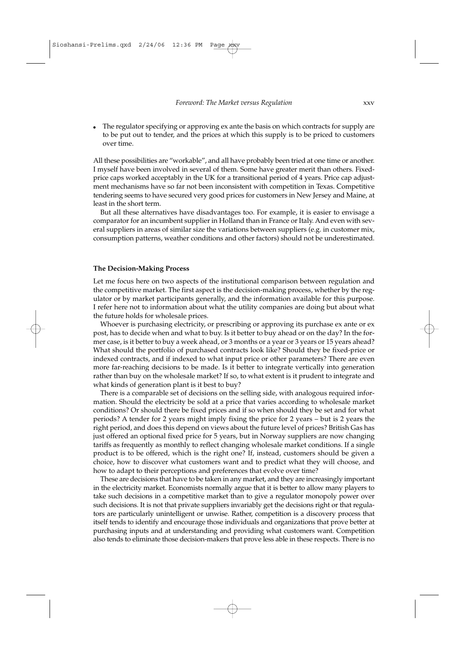• The regulator specifying or approving ex ante the basis on which contracts for supply are to be put out to tender, and the prices at which this supply is to be priced to customers over time.

All these possibilities are "workable", and all have probably been tried at one time or another. I myself have been involved in several of them. Some have greater merit than others. Fixedprice caps worked acceptably in the UK for a transitional period of 4 years. Price cap adjustment mechanisms have so far not been inconsistent with competition in Texas. Competitive tendering seems to have secured very good prices for customers in New Jersey and Maine, at least in the short term.

But all these alternatives have disadvantages too. For example, it is easier to envisage a comparator for an incumbent supplier in Holland than in France or Italy. And even with several suppliers in areas of similar size the variations between suppliers (e.g. in customer mix, consumption patterns, weather conditions and other factors) should not be underestimated.

# **The Decision-Making Process**

Let me focus here on two aspects of the institutional comparison between regulation and the competitive market. The first aspect is the decision-making process, whether by the regulator or by market participants generally, and the information available for this purpose. I refer here not to information about what the utility companies are doing but about what the future holds for wholesale prices.

Whoever is purchasing electricity, or prescribing or approving its purchase ex ante or ex post, has to decide when and what to buy. Is it better to buy ahead or on the day? In the former case, is it better to buy a week ahead, or 3 months or a year or 3 years or 15 years ahead? What should the portfolio of purchased contracts look like? Should they be fixed-price or indexed contracts, and if indexed to what input price or other parameters? There are even more far-reaching decisions to be made. Is it better to integrate vertically into generation rather than buy on the wholesale market? If so, to what extent is it prudent to integrate and what kinds of generation plant is it best to buy?

There is a comparable set of decisions on the selling side, with analogous required information. Should the electricity be sold at a price that varies according to wholesale market conditions? Or should there be fixed prices and if so when should they be set and for what periods? A tender for 2 years might imply fixing the price for 2 years – but is 2 years the right period, and does this depend on views about the future level of prices? British Gas has just offered an optional fixed price for 5 years, but in Norway suppliers are now changing tariffs as frequently as monthly to reflect changing wholesale market conditions. If a single product is to be offered, which is the right one? If, instead, customers should be given a choice, how to discover what customers want and to predict what they will choose, and how to adapt to their perceptions and preferences that evolve over time?

These are decisions that have to be taken in any market, and they are increasingly important in the electricity market. Economists normally argue that it is better to allow many players to take such decisions in a competitive market than to give a regulator monopoly power over such decisions. It is not that private suppliers invariably get the decisions right or that regulators are particularly unintelligent or unwise. Rather, competition is a discovery process that itself tends to identify and encourage those individuals and organizations that prove better at purchasing inputs and at understanding and providing what customers want. Competition also tends to eliminate those decision-makers that prove less able in these respects. There is no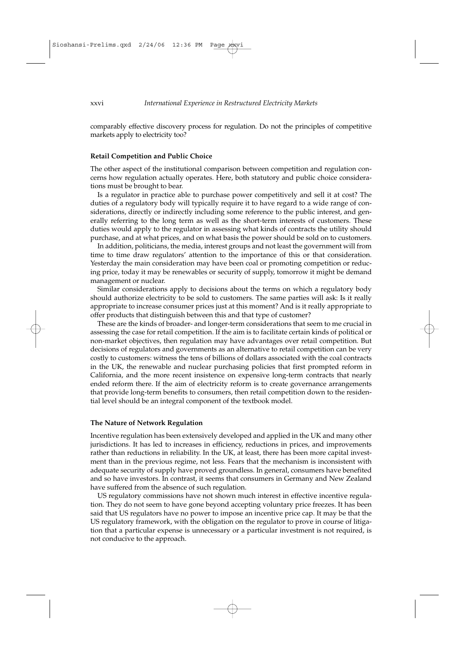comparably effective discovery process for regulation. Do not the principles of competitive markets apply to electricity too?

### **Retail Competition and Public Choice**

The other aspect of the institutional comparison between competition and regulation concerns how regulation actually operates. Here, both statutory and public choice considerations must be brought to bear.

Is a regulator in practice able to purchase power competitively and sell it at cost? The duties of a regulatory body will typically require it to have regard to a wide range of considerations, directly or indirectly including some reference to the public interest, and generally referring to the long term as well as the short-term interests of customers. These duties would apply to the regulator in assessing what kinds of contracts the utility should purchase, and at what prices, and on what basis the power should be sold on to customers.

In addition, politicians, the media, interest groups and not least the government will from time to time draw regulators' attention to the importance of this or that consideration. Yesterday the main consideration may have been coal or promoting competition or reducing price, today it may be renewables or security of supply, tomorrow it might be demand management or nuclear.

Similar considerations apply to decisions about the terms on which a regulatory body should authorize electricity to be sold to customers. The same parties will ask: Is it really appropriate to increase consumer prices just at this moment? And is it really appropriate to offer products that distinguish between this and that type of customer?

These are the kinds of broader- and longer-term considerations that seem to me crucial in assessing the case for retail competition. If the aim is to facilitate certain kinds of political or non-market objectives, then regulation may have advantages over retail competition. But decisions of regulators and governments as an alternative to retail competition can be very costly to customers: witness the tens of billions of dollars associated with the coal contracts in the UK, the renewable and nuclear purchasing policies that first prompted reform in California, and the more recent insistence on expensive long-term contracts that nearly ended reform there. If the aim of electricity reform is to create governance arrangements that provide long-term benefits to consumers, then retail competition down to the residential level should be an integral component of the textbook model.

#### **The Nature of Network Regulation**

Incentive regulation has been extensively developed and applied in the UK and many other jurisdictions. It has led to increases in efficiency, reductions in prices, and improvements rather than reductions in reliability. In the UK, at least, there has been more capital investment than in the previous regime, not less. Fears that the mechanism is inconsistent with adequate security of supply have proved groundless. In general, consumers have benefited and so have investors. In contrast, it seems that consumers in Germany and New Zealand have suffered from the absence of such regulation.

US regulatory commissions have not shown much interest in effective incentive regulation. They do not seem to have gone beyond accepting voluntary price freezes. It has been said that US regulators have no power to impose an incentive price cap. It may be that the US regulatory framework, with the obligation on the regulator to prove in course of litigation that a particular expense is unnecessary or a particular investment is not required, is not conducive to the approach.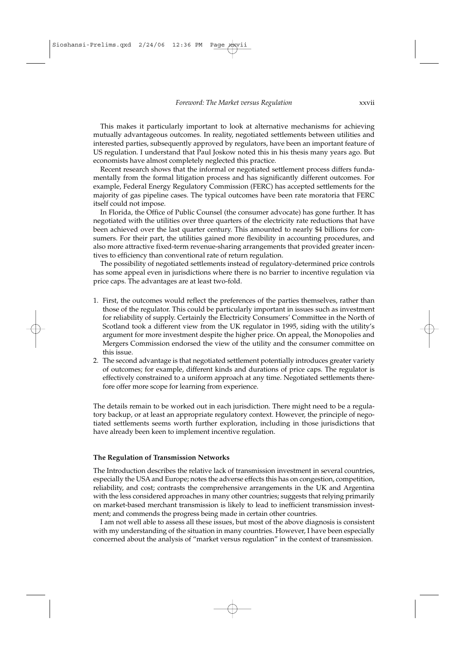This makes it particularly important to look at alternative mechanisms for achieving mutually advantageous outcomes. In reality, negotiated settlements between utilities and interested parties, subsequently approved by regulators, have been an important feature of US regulation. I understand that Paul Joskow noted this in his thesis many years ago. But economists have almost completely neglected this practice.

Recent research shows that the informal or negotiated settlement process differs fundamentally from the formal litigation process and has significantly different outcomes. For example, Federal Energy Regulatory Commission (FERC) has accepted settlements for the majority of gas pipeline cases. The typical outcomes have been rate moratoria that FERC itself could not impose.

In Florida, the Office of Public Counsel (the consumer advocate) has gone further. It has negotiated with the utilities over three quarters of the electricity rate reductions that have been achieved over the last quarter century. This amounted to nearly \$4 billions for consumers. For their part, the utilities gained more flexibility in accounting procedures, and also more attractive fixed-term revenue-sharing arrangements that provided greater incentives to efficiency than conventional rate of return regulation.

The possibility of negotiated settlements instead of regulatory-determined price controls has some appeal even in jurisdictions where there is no barrier to incentive regulation via price caps. The advantages are at least two-fold.

- 1. First, the outcomes would reflect the preferences of the parties themselves, rather than those of the regulator. This could be particularly important in issues such as investment for reliability of supply. Certainly the Electricity Consumers' Committee in the North of Scotland took a different view from the UK regulator in 1995, siding with the utility's argument for more investment despite the higher price. On appeal, the Monopolies and Mergers Commission endorsed the view of the utility and the consumer committee on this issue.
- 2. The second advantage is that negotiated settlement potentially introduces greater variety of outcomes; for example, different kinds and durations of price caps. The regulator is effectively constrained to a uniform approach at any time. Negotiated settlements therefore offer more scope for learning from experience.

The details remain to be worked out in each jurisdiction. There might need to be a regulatory backup, or at least an appropriate regulatory context. However, the principle of negotiated settlements seems worth further exploration, including in those jurisdictions that have already been keen to implement incentive regulation.

# **The Regulation of Transmission Networks**

The Introduction describes the relative lack of transmission investment in several countries, especially the USA and Europe; notes the adverse effects this has on congestion, competition, reliability, and cost; contrasts the comprehensive arrangements in the UK and Argentina with the less considered approaches in many other countries; suggests that relying primarily on market-based merchant transmission is likely to lead to inefficient transmission investment; and commends the progress being made in certain other countries.

I am not well able to assess all these issues, but most of the above diagnosis is consistent with my understanding of the situation in many countries. However, I have been especially concerned about the analysis of "market versus regulation" in the context of transmission.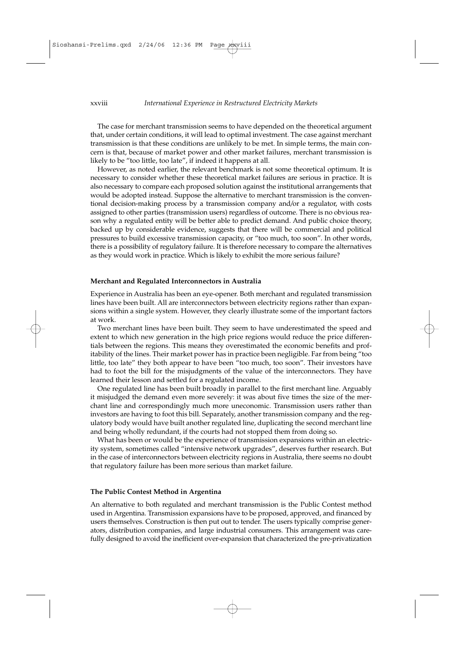The case for merchant transmission seems to have depended on the theoretical argument that, under certain conditions, it will lead to optimal investment. The case against merchant transmission is that these conditions are unlikely to be met. In simple terms, the main concern is that, because of market power and other market failures, merchant transmission is likely to be "too little, too late", if indeed it happens at all.

However, as noted earlier, the relevant benchmark is not some theoretical optimum. It is necessary to consider whether these theoretical market failures are serious in practice. It is also necessary to compare each proposed solution against the institutional arrangements that would be adopted instead. Suppose the alternative to merchant transmission is the conventional decision-making process by a transmission company and*/*or a regulator, with costs assigned to other parties (transmission users) regardless of outcome. There is no obvious reason why a regulated entity will be better able to predict demand. And public choice theory, backed up by considerable evidence, suggests that there will be commercial and political pressures to build excessive transmission capacity, or "too much, too soon". In other words, there is a possibility of regulatory failure. It is therefore necessary to compare the alternatives as they would work in practice. Which is likely to exhibit the more serious failure?

### **Merchant and Regulated Interconnectors in Australia**

Experience in Australia has been an eye-opener. Both merchant and regulated transmission lines have been built. All are interconnectors between electricity regions rather than expansions within a single system. However, they clearly illustrate some of the important factors at work.

Two merchant lines have been built. They seem to have underestimated the speed and extent to which new generation in the high price regions would reduce the price differentials between the regions. This means they overestimated the economic benefits and profitability of the lines. Their market power has in practice been negligible. Far from being "too little, too late" they both appear to have been "too much, too soon". Their investors have had to foot the bill for the misjudgments of the value of the interconnectors. They have learned their lesson and settled for a regulated income.

One regulated line has been built broadly in parallel to the first merchant line. Arguably it misjudged the demand even more severely: it was about five times the size of the merchant line and correspondingly much more uneconomic. Transmission users rather than investors are having to foot this bill. Separately, another transmission company and the regulatory body would have built another regulated line, duplicating the second merchant line and being wholly redundant, if the courts had not stopped them from doing so.

What has been or would be the experience of transmission expansions within an electricity system, sometimes called "intensive network upgrades", deserves further research. But in the case of interconnectors between electricity regions in Australia, there seems no doubt that regulatory failure has been more serious than market failure.

# **The Public Contest Method in Argentina**

An alternative to both regulated and merchant transmission is the Public Contest method used in Argentina. Transmission expansions have to be proposed, approved, and financed by users themselves. Construction is then put out to tender. The users typically comprise generators, distribution companies, and large industrial consumers. This arrangement was carefully designed to avoid the inefficient over-expansion that characterized the pre-privatization